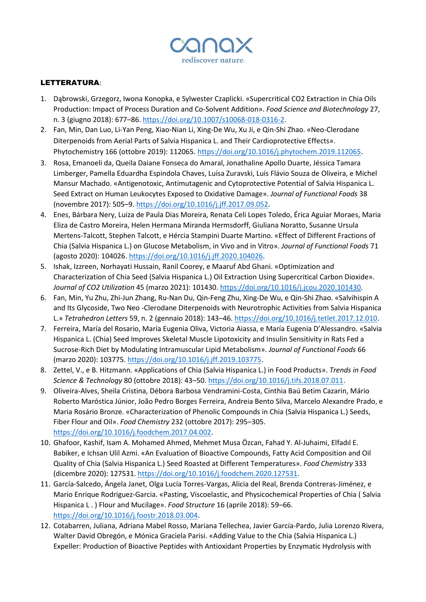

## LETTERATURA:

- 1. Dąbrowski, Grzegorz, Iwona Konopka, e Sylwester Czaplicki. «Supercritical CO2 Extraction in Chia Oils Production: Impact of Process Duration and Co-Solvent Addition». *Food Science and Biotechnology* 27, n. 3 (giugno 2018): 677–86[. https://doi.org/10.1007/s10068-018-0316-2.](https://doi.org/10.1007/s10068-018-0316-2)
- 2. Fan, Min, Dan Luo, Li-Yan Peng, Xiao-Nian Li, Xing-De Wu, Xu Ji, e Qin-Shi Zhao. «Neo-Clerodane Diterpenoids from Aerial Parts of Salvia Hispanica L. and Their Cardioprotective Effects». Phytochemistry 166 (ottobre 2019): 112065. [https://doi.org/10.1016/j.phytochem.2019.112065.](https://doi.org/10.1016/j.phytochem.2019.112065)
- 3. Rosa, Emanoeli da, Queila Daiane Fonseca do Amaral, Jonathaline Apollo Duarte, Jéssica Tamara Limberger, Pamella Eduardha Espindola Chaves, Luísa Zuravski, Luís Flávio Souza de Oliveira, e Michel Mansur Machado. «Antigenotoxic, Antimutagenic and Cytoprotective Potential of Salvia Hispanica L. Seed Extract on Human Leukocytes Exposed to Oxidative Damage». *Journal of Functional Foods* 38 (novembre 2017): 505–9[. https://doi.org/10.1016/j.jff.2017.09.052.](https://doi.org/10.1016/j.jff.2017.09.052)
- 4. Enes, Bárbara Nery, Luiza de Paula Dias Moreira, Renata Celi Lopes Toledo, Érica Aguiar Moraes, Maria Eliza de Castro Moreira, Helen Hermana Miranda Hermsdorff, Giuliana Noratto, Susanne Ursula Mertens-Talcott, Stephen Talcott, e Hércia Stampini Duarte Martino. «Effect of Different Fractions of Chia (Salvia Hispanica L.) on Glucose Metabolism, in Vivo and in Vitro». *Journal of Functional Foods* 71 (agosto 2020): 104026. [https://doi.org/10.1016/j.jff.2020.104026.](https://doi.org/10.1016/j.jff.2020.104026)
- 5. Ishak, Izzreen, Norhayati Hussain, Ranil Coorey, e Maaruf Abd Ghani. «Optimization and Characterization of Chia Seed (Salvia Hispanica L.) Oil Extraction Using Supercritical Carbon Dioxide». *Journal of CO2 Utilization* 45 (marzo 2021): 101430[. https://doi.org/10.1016/j.jcou.2020.101430.](https://doi.org/10.1016/j.jcou.2020.101430)
- 6. Fan, Min, Yu Zhu, Zhi-Jun Zhang, Ru-Nan Du, Qin-Feng Zhu, Xing-De Wu, e Qin-Shi Zhao. «Salvihispin A and Its Glycoside, Two Neo -Clerodane Diterpenoids with Neurotrophic Activities from Salvia Hispanica L.» *Tetrahedron Letters* 59, n. 2 (gennaio 2018): 143–46. [https://doi.org/10.1016/j.tetlet.2017.12.010.](https://doi.org/10.1016/j.tetlet.2017.12.010)
- 7. Ferreira, María del Rosario, María Eugenia Oliva, Victoria Aiassa, e María Eugenia D'Alessandro. «Salvia Hispanica L. (Chia) Seed Improves Skeletal Muscle Lipotoxicity and Insulin Sensitivity in Rats Fed a Sucrose-Rich Diet by Modulating Intramuscular Lipid Metabolism». *Journal of Functional Foods* 66 (marzo 2020): 103775. [https://doi.org/10.1016/j.jff.2019.103775.](https://doi.org/10.1016/j.jff.2019.103775)
- 8. Zettel, V., e B. Hitzmann. «Applications of Chia (Salvia Hispanica L.) in Food Products». *Trends in Food Science & Technology* 80 (ottobre 2018): 43–50. [https://doi.org/10.1016/j.tifs.2018.07.011.](https://doi.org/10.1016/j.tifs.2018.07.011)
- 9. Oliveira-Alves, Sheila Cristina, Débora Barbosa Vendramini-Costa, Cinthia Baú Betim Cazarin, Mário Roberto Maróstica Júnior, João Pedro Borges Ferreira, Andreia Bento Silva, Marcelo Alexandre Prado, e Maria Rosário Bronze. «Characterization of Phenolic Compounds in Chia (Salvia Hispanica L.) Seeds, Fiber Flour and Oil». *Food Chemistry* 232 (ottobre 2017): 295–305. [https://doi.org/10.1016/j.foodchem.2017.04.002.](https://doi.org/10.1016/j.foodchem.2017.04.002)
- 10. Ghafoor, Kashif, Isam A. Mohamed Ahmed, Mehmet Musa Özcan, Fahad Y. Al-Juhaimi, Elfadıl E. Babiker, e Ichsan Ulil Azmi. «An Evaluation of Bioactive Compounds, Fatty Acid Composition and Oil Quality of Chia (Salvia Hispanica L.) Seed Roasted at Different Temperatures». *Food Chemistry* 333 (dicembre 2020): 127531[. https://doi.org/10.1016/j.foodchem.2020.127531.](https://doi.org/10.1016/j.foodchem.2020.127531)
- 11. García-Salcedo, Ángela Janet, Olga Lucía Torres-Vargas, Alicia del Real, Brenda Contreras-Jiménez, e Mario Enrique Rodriguez-Garcia. «Pasting, Viscoelastic, and Physicochemical Properties of Chia ( Salvia Hispanica L . ) Flour and Mucilage». *Food Structure* 16 (aprile 2018): 59–66. [https://doi.org/10.1016/j.foostr.2018.03.004.](https://doi.org/10.1016/j.foostr.2018.03.004)
- 12. Cotabarren, Juliana, Adriana Mabel Rosso, Mariana Tellechea, Javier García-Pardo, Julia Lorenzo Rivera, Walter David Obregón, e Mónica Graciela Parisi. «Adding Value to the Chia (Salvia Hispanica L.) Expeller: Production of Bioactive Peptides with Antioxidant Properties by Enzymatic Hydrolysis with